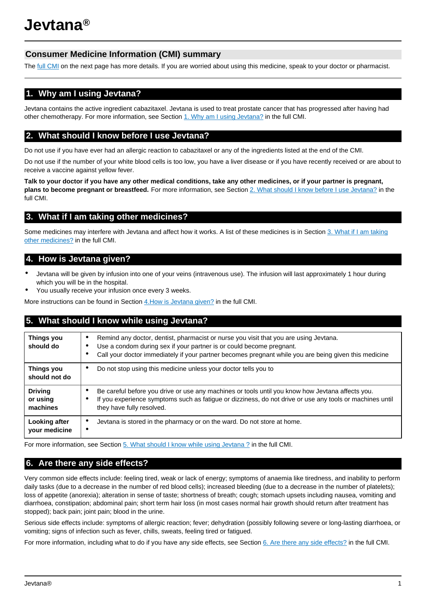# **Consumer Medicine Information (CMI) summary**

The [full CMI](#page-1-0) on the next page has more details. If you are worried about using this medicine, speak to your doctor or pharmacist.

# **1. Why am I using Jevtana?**

Jevtana contains the active ingredient cabazitaxel. Jevtana is used to treat prostate cancer that has progressed after having had other chemotherapy. For more information, see Section [1. Why am I using Jevtana?](#page-1-0) in the full CMI.

## **2. What should I know before I use Jevtana?**

Do not use if you have ever had an allergic reaction to cabazitaxel or any of the ingredients listed at the end of the CMI.

Do not use if the number of your white blood cells is too low, you have a liver disease or if you have recently received or are about to receive a vaccine against yellow fever.

**Talk to your doctor if you have any other medical conditions, take any other medicines, or if your partner is pregnant, plans to become pregnant or breastfeed.** For more information, see Section [2. What should I know before I use Jevtana?](#page-1-1) in the full CMI.

# **3. What if I am taking other medicines?**

Some medicines may interfere with Jevtana and affect how it works. A list of these medicines is in Section [3. What if I am taking](#page-1-2) [other medicines?](#page-1-2) in the full CMI.

## **4. How is Jevtana given?**

- Jevtana will be given by infusion into one of your veins (intravenous use). The infusion will last approximately 1 hour during which you will be in the hospital.
- You usually receive your infusion once every 3 weeks.

More instructions can be found in Section [4.How is Jevtana given?](#page-2-0) in the full CMI.

## **5. What should I know while using Jevtana?**

| Things you<br>should do        | Remind any doctor, dentist, pharmacist or nurse you visit that you are using Jevtana.<br>$\bullet$<br>Use a condom during sex if your partner is or could become pregnant.<br>Call your doctor immediately if your partner becomes pregnant while you are being given this medicine |
|--------------------------------|-------------------------------------------------------------------------------------------------------------------------------------------------------------------------------------------------------------------------------------------------------------------------------------|
| Things you                     | Do not stop using this medicine unless your doctor tells you to                                                                                                                                                                                                                     |
| should not do                  | $\bullet$                                                                                                                                                                                                                                                                           |
| <b>Driving</b>                 | Be careful before you drive or use any machines or tools until you know how Jevtana affects you.                                                                                                                                                                                    |
| or using                       | If you experience symptoms such as fatigue or dizziness, do not drive or use any tools or machines until                                                                                                                                                                            |
| machines                       | they have fully resolved.                                                                                                                                                                                                                                                           |
| Looking after<br>your medicine | Jevtana is stored in the pharmacy or on the ward. Do not store at home.<br>$\bullet$<br>$\bullet$                                                                                                                                                                                   |

For more information, see Section [5. What should I know while using Jevtana ?](#page-2-1) in the full CMI.

## **6. Are there any side effects?**

Very common side effects include: feeling tired, weak or lack of energy; symptoms of anaemia like tiredness, and inability to perform daily tasks (due to a decrease in the number of red blood cells); increased bleeding (due to a decrease in the number of platelets); loss of appetite (anorexia); alteration in sense of taste; shortness of breath; cough; stomach upsets including nausea, vomiting and diarrhoea, constipation; abdominal pain; short term hair loss (in most cases normal hair growth should return after treatment has stopped); back pain; joint pain; blood in the urine.

Serious side effects include: symptoms of allergic reaction; fever; dehydration (possibly following severe or long-lasting diarrhoea, or vomiting; signs of infection such as fever, chills, sweats, feeling tired or fatigued.

For more information, including what to do if you have any side effects, see Section [6. Are there any side effects?](#page-2-2) in the full CMI.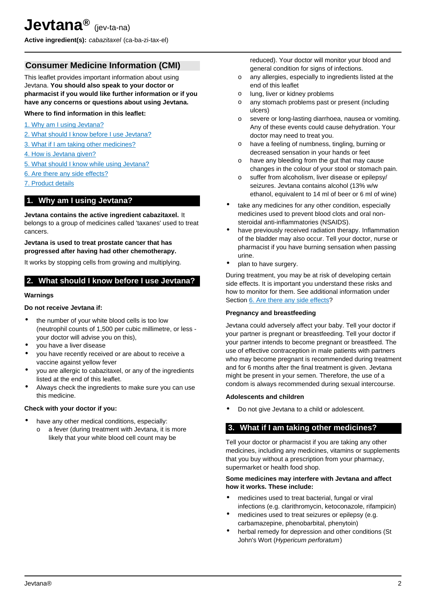<span id="page-1-0"></span>**Active ingredient(s):** cabazitaxel (ca-ba-zi-tax-el)

## **Consumer Medicine Information (CMI)**

This leaflet provides important information about using Jevtana. **You should also speak to your doctor or pharmacist if you would like further information or if you have any concerns or questions about using Jevtana.**

### **Where to find information in this leaflet:**

- [1. Why am I using Jevtana?](#page-1-3)
- [2. What should I know before I use Jevtana?](#page-1-1)
- [3. What if I am taking other medicines?](#page-1-2)
- [4. How is Jevtana given?](#page-2-0)
- [5. What should I know while using Jevtana?](#page-2-1)
- [6. Are there any side effects?](#page-2-2)
- [7. Product details](#page-3-0)

### <span id="page-1-3"></span>**1. Why am I using Jevtana?**

**Jevtana contains the active ingredient cabazitaxel.** It belongs to a group of medicines called 'taxanes' used to treat cancers.

#### **Jevtana is used to treat prostate cancer that has progressed after having had other chemotherapy.**

It works by stopping cells from growing and multiplying.

## <span id="page-1-1"></span>**2. What should I know before I use Jevtana?**

#### **Warnings**

### **Do not receive Jevtana if:**

- the number of your white blood cells is too low (neutrophil counts of 1,500 per cubic millimetre, or less your doctor will advise you on this),
- you have a liver disease
- you have recently received or are about to receive a vaccine against yellow fever
- you are allergic to cabazitaxel, or any of the ingredients listed at the end of this leaflet.
- Always check the ingredients to make sure you can use this medicine.

### **Check with your doctor if you:**

- have any other medical conditions, especially:
	- o a fever (during treatment with Jevtana, it is more likely that your white blood cell count may be

reduced). Your doctor will monitor your blood and general condition for signs of infections.

- o any allergies, especially to ingredients listed at the end of this leaflet
- o lung, liver or kidney problems
- o any stomach problems past or present (including ulcers)
- o severe or long-lasting diarrhoea, nausea or vomiting. Any of these events could cause dehydration. Your doctor may need to treat you.
- o have a feeling of numbness, tingling, burning or decreased sensation in your hands or feet
- o have any bleeding from the gut that may cause changes in the colour of your stool or stomach pain.
- o suffer from alcoholism, liver disease or epilepsy/ seizures. Jevtana contains alcohol (13% w/w ethanol, equivalent to 14 ml of beer or 6 ml of wine)
- take any medicines for any other condition, especially medicines used to prevent blood clots and oral nonsteroidal anti-inflammatories (NSAIDS).
- have previously received radiation therapy. Inflammation of the bladder may also occur. Tell your doctor, nurse or pharmacist if you have burning sensation when passing urine.
- plan to have surgery.

During treatment, you may be at risk of developing certain side effects. It is important you understand these risks and how to monitor for them. See additional information under Section [6. Are there any side effects](#page-2-2)?

#### **Pregnancy and breastfeeding**

Jevtana could adversely affect your baby. Tell your doctor if your partner is pregnant or breastfeeding. Tell your doctor if your partner intends to become pregnant or breastfeed. The use of effective contraception in male patients with partners who may become pregnant is recommended during treatment and for 6 months after the final treatment is given. Jevtana might be present in your semen. Therefore, the use of a condom is always recommended during sexual intercourse.

### **Adolescents and children**

• Do not give Jevtana to a child or adolescent.

### <span id="page-1-2"></span>**3. What if I am taking other medicines?**

Tell your doctor or pharmacist if you are taking any other medicines, including any medicines, vitamins or supplements that you buy without a prescription from your pharmacy, supermarket or health food shop.

#### **Some medicines may interfere with Jevtana and affect how it works. These include:**

- medicines used to treat bacterial, fungal or viral infections (e.g. clarithromycin, ketoconazole, rifampicin)
- medicines used to treat seizures or epilepsy (e.g. carbamazepine, phenobarbital, phenytoin)
- herbal remedy for depression and other conditions (St John's Wort (Hypericum perforatum)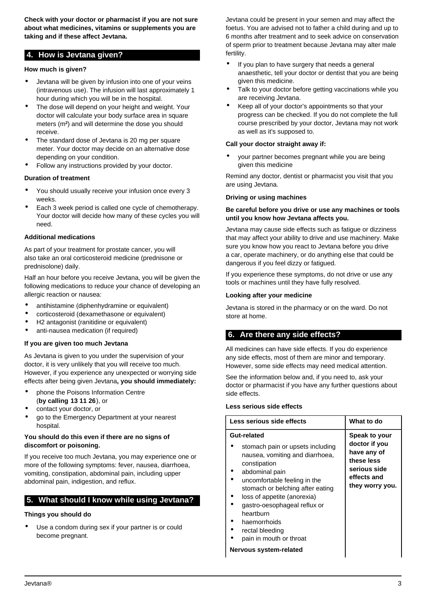**Check with your doctor or pharmacist if you are not sure about what medicines, vitamins or supplements you are taking and if these affect Jevtana.**

## <span id="page-2-0"></span>**4. How is Jevtana given?**

### **How much is given?**

- Jevtana will be given by infusion into one of your veins (intravenous use). The infusion will last approximately 1 hour during which you will be in the hospital.
- The dose will depend on your height and weight. Your doctor will calculate your body surface area in square meters (m**<sup>2</sup>** ) and will determine the dose you should receive.
- The standard dose of Jevtana is 20 mg per square meter. Your doctor may decide on an alternative dose depending on your condition.
- Follow any instructions provided by your doctor.

### **Duration of treatment**

- You should usually receive your infusion once every 3 weeks.
- Each 3 week period is called one cycle of chemotherapy. Your doctor will decide how many of these cycles you will need.

### **Additional medications**

As part of your treatment for prostate cancer, you will also take an oral corticosteroid medicine (prednisone or prednisolone) daily.

Half an hour before you receive Jevtana, you will be given the following medications to reduce your chance of developing an allergic reaction or nausea:

- antihistamine (diphenhydramine or equivalent)
- corticosteroid (dexamethasone or equivalent)
- H2 antagonist (ranitidine or equivalent)
- anti-nausea medication (if required)

### **If you are given too much Jevtana**

As Jevtana is given to you under the supervision of your doctor, it is very unlikely that you will receive too much. However, if you experience any unexpected or worrying side effects after being given Jevtana**, you should immediately:**

- phone the Poisons Information Centre (**by calling 13 11 26**), or
- contact your doctor, or
- go to the Emergency Department at your nearest hospital.

### **You should do this even if there are no signs of discomfort or poisoning.**

If you receive too much Jevtana, you may experience one or more of the following symptoms: fever, nausea, diarrhoea, vomiting, constipation, abdominal pain, including upper abdominal pain, indigestion, and reflux.

## <span id="page-2-1"></span>**5. What should I know while using Jevtana?**

### **Things you should do**

Use a condom during sex if your partner is or could become pregnant.

Jevtana could be present in your semen and may affect the foetus. You are advised not to father a child during and up to 6 months after treatment and to seek advice on conservation of sperm prior to treatment because Jevtana may alter male fertility.

- If you plan to have surgery that needs a general anaesthetic, tell your doctor or dentist that you are being given this medicine.
- Talk to your doctor before getting vaccinations while you are receiving Jevtana.
- Keep all of your doctor's appointments so that your progress can be checked. If you do not complete the full course prescribed by your doctor, Jevtana may not work as well as it's supposed to.

### **Call your doctor straight away if:**

• your partner becomes pregnant while you are being given this medicine

Remind any doctor, dentist or pharmacist you visit that you are using Jevtana.

### **Driving or using machines**

### **Be careful before you drive or use any machines or tools until you know how Jevtana affects you.**

Jevtana may cause side effects such as fatigue or dizziness that may affect your ability to drive and use machinery. Make sure you know how you react to Jevtana before you drive a car, operate machinery, or do anything else that could be dangerous if you feel dizzy or fatigued.

If you experience these symptoms, do not drive or use any tools or machines until they have fully resolved.

### **Looking after your medicine**

Jevtana is stored in the pharmacy or on the ward. Do not store at home.

## <span id="page-2-2"></span>**6. Are there any side effects?**

All medicines can have side effects. If you do experience any side effects, most of them are minor and temporary. However, some side effects may need medical attention.

See the information below and, if you need to, ask your doctor or pharmacist if you have any further questions about side effects.

### **Less serious side effects**

| Less serious side effects                                                                                                                                                                |  | What to do                                                                                                    |
|------------------------------------------------------------------------------------------------------------------------------------------------------------------------------------------|--|---------------------------------------------------------------------------------------------------------------|
| Gut-related<br>stomach pain or upsets including<br>nausea, vomiting and diarrhoea,<br>constipation<br>abdominal pain<br>uncomfortable feeling in the<br>stomach or belching after eating |  | Speak to your<br>doctor if you<br>have any of<br>these less<br>serious side<br>effects and<br>they worry you. |
| loss of appetite (anorexia)<br>gastro-oesophageal reflux or<br>hearthurn<br>haemorrhoids<br>rectal bleeding<br>pain in mouth or throat                                                   |  |                                                                                                               |

**Nervous system-related**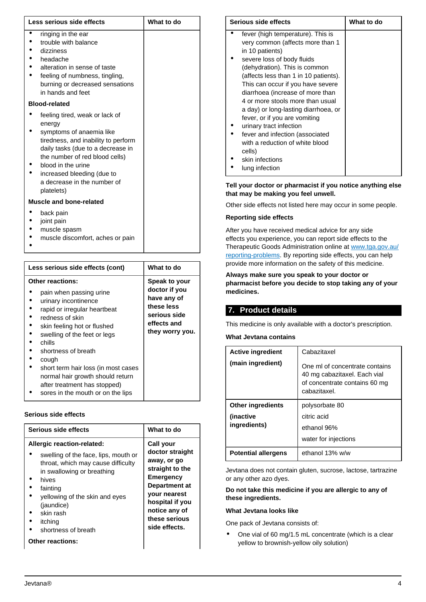| Less serious side effects                                                                                                                                                                                                                                                           | What to do |
|-------------------------------------------------------------------------------------------------------------------------------------------------------------------------------------------------------------------------------------------------------------------------------------|------------|
| ringing in the ear<br>trouble with balance<br>dizziness<br>headache<br>alteration in sense of taste<br>feeling of numbness, tingling,<br>burning or decreased sensations<br>in hands and feet                                                                                       |            |
| <b>Blood-related</b>                                                                                                                                                                                                                                                                |            |
| feeling tired, weak or lack of<br>energy<br>symptoms of anaemia like<br>tiredness, and inability to perform<br>daily tasks (due to a decrease in<br>the number of red blood cells)<br>blood in the urine<br>increased bleeding (due to<br>a decrease in the number of<br>platelets) |            |
| Muscle and bone-related                                                                                                                                                                                                                                                             |            |
| back pain<br>joint pain<br>muscle spasm                                                                                                                                                                                                                                             |            |

• muscle discomfort, aches or pain

•

| Less serious side effects (cont)                                                                                                                                                                                       | What to do                                                                                                    |
|------------------------------------------------------------------------------------------------------------------------------------------------------------------------------------------------------------------------|---------------------------------------------------------------------------------------------------------------|
| <b>Other reactions:</b><br>pain when passing urine<br>urinary incontinence<br>rapid or irregular heartbeat<br>redness of skin<br>skin feeling hot or flushed                                                           | Speak to your<br>doctor if you<br>have any of<br>these less<br>serious side<br>effects and<br>they worry you. |
| swelling of the feet or legs<br>chills<br>shortness of breath<br>cough<br>short term hair loss (in most cases<br>normal hair growth should return<br>after treatment has stopped)<br>sores in the mouth or on the lips |                                                                                                               |

#### **Serious side effects**

| Serious side effects                                                                                                                                                                                                                                              | What to do                                                                                                                                                                                       |
|-------------------------------------------------------------------------------------------------------------------------------------------------------------------------------------------------------------------------------------------------------------------|--------------------------------------------------------------------------------------------------------------------------------------------------------------------------------------------------|
| <b>Allergic reaction-related:</b><br>swelling of the face, lips, mouth or<br>throat, which may cause difficulty<br>in swallowing or breathing<br>hives<br>fainting<br>yellowing of the skin and eyes<br>(jaundice)<br>skin rash<br>itching<br>shortness of breath | Call your<br>doctor straight<br>away, or go<br>straight to the<br><b>Emergency</b><br>Department at<br><b>vour nearest</b><br>hospital if you<br>notice any of<br>these serious<br>side effects. |
| <b>Other reactions:</b>                                                                                                                                                                                                                                           |                                                                                                                                                                                                  |

| Serious side effects |                                       | What to do |
|----------------------|---------------------------------------|------------|
|                      | fever (high temperature). This is     |            |
|                      | very common (affects more than 1      |            |
|                      | in 10 patients)                       |            |
|                      | severe loss of body fluids            |            |
|                      | (dehydration). This is common         |            |
|                      | (affects less than 1 in 10 patients). |            |
|                      | This can occur if you have severe     |            |
|                      | diarrhoea (increase of more than      |            |
|                      | 4 or more stools more than usual      |            |
|                      | a day) or long-lasting diarrhoea, or  |            |
|                      | fever, or if you are vomiting         |            |
|                      | urinary tract infection               |            |
|                      | fever and infection (associated       |            |
|                      | with a reduction of white blood       |            |
|                      | cells)                                |            |
|                      | skin infections                       |            |
|                      | lung infection                        |            |

#### **Tell your doctor or pharmacist if you notice anything else that may be making you feel unwell.**

Other side effects not listed here may occur in some people.

#### **Reporting side effects**

After you have received medical advice for any side effects you experience, you can report side effects to the Therapeutic Goods Administration online at [www.tga.gov.au/](http://www.tga.gov.au/reporting-problems) [reporting-problems](http://www.tga.gov.au/reporting-problems). By reporting side effects, you can help provide more information on the safety of this medicine.

### **Always make sure you speak to your doctor or pharmacist before you decide to stop taking any of your medicines.**

## <span id="page-3-0"></span>**7. Product details**

This medicine is only available with a doctor's prescription.

**What Jevtana contains**

| <b>Active ingredient</b>   | Cabazitaxel                                                                                                     |
|----------------------------|-----------------------------------------------------------------------------------------------------------------|
| (main ingredient)          | One ml of concentrate contains<br>40 mg cabazitaxel. Each vial<br>of concentrate contains 60 mg<br>cabazitaxel. |
| <b>Other ingredients</b>   | polysorbate 80                                                                                                  |
| (inactive                  | citric acid                                                                                                     |
| ingredients)               | ethanol 96%                                                                                                     |
|                            | water for injections                                                                                            |
| <b>Potential allergens</b> | ethanol 13% w/w                                                                                                 |

Jevtana does not contain gluten, sucrose, lactose, tartrazine or any other azo dyes.

### **Do not take this medicine if you are allergic to any of these ingredients.**

#### **What Jevtana looks like**

One pack of Jevtana consists of:

• One vial of 60 mg/1.5 mL concentrate (which is a clear yellow to brownish-yellow oily solution)